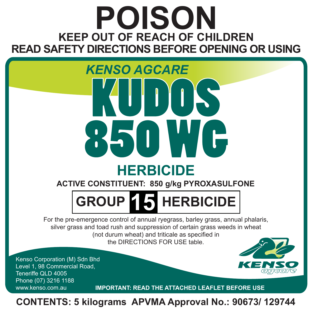## **POISON KEEP OUT OF REACH OF CHILDREN READ SAFETY DIRECTIONS BEFORE OPENING OR USING**

# **HERBICIDE** *KENSO AGCARE* KUDOS 850 WG

**ACTIVE CONSTITUENT: 850 g/kg PYROXASULFONE**

## **GROUP 15 HERBICIDE**

For the pre-emergence control of annual ryegrass, barley grass, annual phalaris, silver grass and toad rush and suppression of certain grass weeds in wheat (not durum wheat) and triticale as specified in the DIRECTIONS FOR USE table.

Kenso Corporation (M) Sdn Bhd Level 1, 98 Commercial Road, Teneriffe QLD 4005 Phone (07) 3216 1188



www.kenso.com.au **IMPORTANT: READ THE ATTACHED LEAFLET BEFORE USE**

**CONTENTS: 5 kilograms APVMA Approval No.: 90673/ 129744**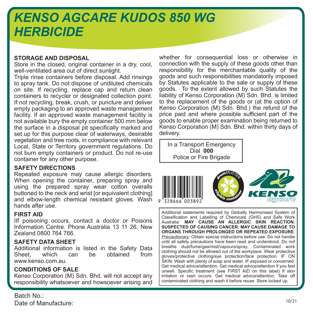## *KENSO AGCARE KUDOS 850 WG HERBICIDE*

#### **STORAGE AND DISPOSAL**

Store in the closed, original container in a dry, cool, well-ventilated area out of direct sunlight.

Triple rinse containers before disposal. Add rinsings to spray tank. Do not dispose of undiluted chemicals on site. If recycling, replace cap and return clean containers to recycler or designated collection point. If not recycling, break, crush, or puncture and deliver empty packaging to an approved waste management facility. If an approved waste management facility is not available bury the empty container 500 mm below the surface in a disposal pit specifically marked and set up for this purpose clear of waterways, desirable vegetation and tree roots, in compliance with relevant Local, State or Territory government regulations. Do not burn empty containers or product. Do not re-use container for any other purpose.

#### **SAFETY DIRECTIONS**

Repeated exposure may cause allergic disorders. When opening the container, preparing spray and using the prepared spray wear cotton overalls buttoned to the neck and wrist for equivalent clothing] and elbow-length chemical resistant gloves. Wash hands after use.

#### **FIRST AID**

IIf poisoning occurs, contact a doctor or Poisons Information Centre. Phone Australia 13 11 26, New Zealand 0800 764 766.

#### **SAFETY DATA SHEET**

Additional information is listed in the Safety Data<br>Sheet, which can be obtained from Sheet, which can be www.kenso.com.au.

#### **CONDITIONS OF SALE**

Kenso Corporation (M) Sdn. Bhd. will not accept any responsibility whatsoever and howsoever arising and

Batch No.: Date of Manufacture: whether for consequential loss or otherwise in connection with the supply of these goods other than responsibility for the merchantable quality of the goods and such responsibilities mandatorily imposed by Statutes applicable to the sale or supply of these goods. To the extent allowed by such Statutes the liability of Kenso Corporation (M) Sdn. Bhd. is limited to the replacement of the goods or (at the option of Kenso Corporation (M) Sdn. Bhd.) the refund of the price paid and where possible sufficient part of the goods to enable proper examination being returned to Kenso Corporation (M) Sdn. Bhd. within thirty days of delivery.

In a Transport Emergency Dial **000** Police or Fire Brigade







Additional statements required by Globally Harmonised System of Classification and Labelling of Chemicals (GHS) and Safe Work Australia: **MAY CAUSE AN ALLERGIC SKIN REACTION. SUSPECTED OF CAUSING CANCER. MAY CAUSE DAMAGE TO ORGANS THROUGH PROLONGED OR REPEATED EXPOSURE.**  *Precautionary*: Obtain special instructions before use. Do not handle until all safety precautions have been read and understood. Do not breathe dust/fume/gas/mist/vapours/spray. Contaminated work clothing should not be allowed out of the workplace. Wear protective gloves/protective clothing/eye protection/face protection. IF ON SKIN: Wash with plenty of soap and water. IF exposed or concerned: Get medical advice/attention. Get medical advice/attention if you feel unwell. Specific treatment (see FIRST AID on this label) If skin irritation or rash occurs: Get medical advice/attention. Take off contaminated clothing and wash it before reuse. Store locked up.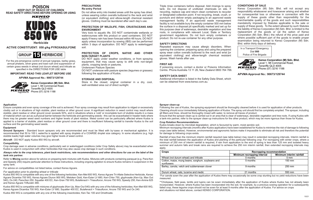



**Herbicide**

**ACTIVE CONSTITUENT: 850 g/kg PYROXASULFONE**



For the pre-emergence control of annual ryegrass, barley grass, annual phalaris, silver grass and toad rush and suppression of certain grass weeds in wheat (not durum wheat) and triticale as specified in the DIRECTIONS FOR USE table

#### **IMPORTANT: READ THIS LEAFLET BEFORE USE**

#### **APVMA Approval No.: 90673/129744**

**Kenso Corporation (M) Sdn. Bhd.**



Level 1, 98 Commercial Road, Teneriffe QLD 4005  $\overline{H}$  $\overline{H}$  $\overline{H}$  $\overline{H}$  $\overline{H}$  $\overline{H}$  $\overline{H}$  $\overline{H}$  $\overline{H}$  $\overline{H}$  $\overline{H}$  $\overline{H}$  $\overline{H}$  $\overline{H}$  $\overline{H}$  $\overline{H}$  $\overline{H}$  $\overline{H}$  $\overline{H}$  $\overline{H}$  $\overline{H}$  $\overline{H}$  $\overline{H}$  $\overline{H}$  $\overline{H}$  $\overline{H}$  $\overline{H}$  $\overline{$ 

#### **PRECAUTIONS Re-entry Period**

Do not allow entry into treated areas until the spray has dried, unless wearing cotton overalls buttoned to the neck and wrist (or equivalent clothing) and elbow-length chemical resistant gloves. Clothing must be laundered after each day's use.

#### **PROTECTION OF WILDLIFE, FISH, CRUSTACEANS AND ENVIRONMENT**

Very toxic to aquatic life. DO NOT contaminate wetlands or watercourses with this product or used containers. DO NOT apply if heavy rain has been forecast within 48 hours. DO NOT apply unless incorporation by sowing (IBS) can be performed within 3 days of application. DO NOT apply to waterlogged soil.

#### **PROTECTION OF CROPS, NATIVE AND OTHER NON-TARGET PLANTS**

DO NOT apply under weather conditions, or from spraying equipment, that may cause spray to drift onto non-target plants, cropping lands or pastures.

Undersown Pasture Species

DO NOT undersow with pasture species (legumes or grasses) following the application of Kudos.

#### **STORAGE AND DISPOSAL**

Store in the closed, original container in a dry, cool, well-ventilated area out of direct sunlight.

Triple rinse containers before disposal. Add rinsings to spray tank. Do not dispose of undiluted chemicals on site. If recycling, replace cap and return clean containers to recycler or designated collection point. If not recycling, break, crush, or puncture and deliver empty packaging to an approved waste management facility. If an approved waste management facility is not available bury the empty container 500 mm below the surface in a disposal pit specifically marked and set up for this purpose clear of waterways, desirable vegetation and tree roots, in compliance with relevant Local, State or Territory government regulations. Do not burn empty containers or product. Do not re-use container for any other purpose.

#### **SAFETY DIRECTIONS**

Repeated exposure may cause allergic disorders. When opening the container, preparing spray and using the prepared spray wear cotton overalls buttoned to the neck and wrist [or equivalent clothing] and elbow-length chemical resistant gloves. Wash hands after use.

#### **FIRST AID**

If poisoning occurs, contact a doctor or Poisons Information Centre. Phone Australia 13 11 26, New Zealand 0800 764 766.

#### **SAFETY DATA SHEET**

Additional information is listed in the Safety Data Sheet, which can be obtained from www.kenso.com.au.

#### **CONDITIONS OF SALE**

Kenso Corporation (M) Sdn. Bhd. will not accept any responsibility whatsoever and howsoever arising and whether for consequential loss or otherwise in connection with the supply of these goods other than responsibility for the merchantable quality of the goods and such responsibilities mandatorily imposed by Statutes applicable to the sale or supply of these goods. To the extent allowed by such Statutes the liability of Kenso Corporation (M) Sdn. Bhd. is limited to the replacement of the goods or (at the option of Kenso Corporation (M) Sdn. Bhd.) the refund of the price paid and where possible sufficient part of the goods to enable proper examination being returned to Kenso Corporation (M) Sdn. Bhd. within thirty days of delivery.

In a Transport Emergency Dial **000** Police of Fire Brigade



**Kenso Corporation (M) Sdn. Bhd.** Level 1, 98 Commercial Road, Teneriffe QLD 4005  $\overline{H}$  $\overline{H}$  $\overline{H}$  $\overline{H}$  $\overline{H}$  $\overline{H}$  $\overline{H}$  $\overline{H}$  $\overline{H}$  $\overline{H}$  $\overline{H}$  $\overline{H}$  $\overline{H}$  $\overline{H}$  $\overline{H}$  $\overline{H}$  $\overline{H}$  $\overline{H}$  $\overline{H}$  $\overline{H}$  $\overline{H}$  $\overline{H}$  $\overline{H}$  $\overline{H}$  $\overline{H}$  $\overline{H}$  $\overline{H}$  $\overline{$ 

**APVMA Approval No.: 90673/129744**

#### **Application**

Ensure complete and even spray coverage of the soil is achieved. Poor spray coverage may result from application to ridged or excessively cloddy soil or in situations of high stubble, plant residue or other ground cover. A significant reduction in weed control may result where stubble, plant residue or other ground cover exceeds 50%, and in situations where a 'cold' or incomplete burn of stubble results in a mass of material which can act as a physical barrier between the herbicide and germinating weeds - this can be exacerbated in header trails where there may be greater weed seed numbers and higher levels of plant residue. Weed control can be particularly affected where Kudos is applied to a barrier of stubble, plant residue or other ground cover and there is insufficient following rainfall to transfer Kudos to the soil surface and the germinating weed seeds.

#### **Equipment**

Ground Sprayers - Standard boom sprayers only are recommended and must be fitted with by¬pass or mechanical agitation. It is recommended that 50 to 100 L water/ha is applied with spray droplets of a COARSE droplet size category. In some situations (e.g. high stubble loads) high water volumes may give higher levels of weed control.

**Aircraft** - DO NOT apply Kudos 850 WG by aircraft.

#### **Compatibility**

Crop damage seen in adverse conditions, particularly wet or waterlogged conditions (refer Crop Safety above) may be exacerbated when Kudos is used in conjunction with other herbicides that may also cause crop damage in such conditions.

#### *Always refer to the crop tolerance, plant back restrictions, rate recommendations and other directions for use on the label of the tank mix partner.*

Refer to **Mixing** section above for advice on preparing tank mixtures with Kudos. Mixtures with products containing paraquat (e.g. Para-Ken and Speedy 250) require particular attention to these instructions, including ongoing agitation to ensure Kudos remains in suspension in the spray tank.

For advice on compatibilities not listed below, contact Kenso Agcare.

#### *For application prior to planting wheat or triticale*

Kudos 850 WG is compatible with any one of the following herbicides; Ken-Met 600 WG, Kenso Agcare Tri-Allate Selective Herbicide, Kenso Agcare Dicamba 700 WG, Kenso Agcare Diuron 900 WG, Metoken Gold, Ken-Ester LV 680, Ken-Chlor 750, glyphosate (Ken-Up, Max Out 540), Ox 240, Para-Ken 250, Squatter 400 EC, Ken-Gran 750 WG, Butafenacil + Triasulfuron, Arcore 750 WG, Speedy 250, Ken-Amine 625 and Kenso Agcare Trifluralin 480.

Kudos 850 WG is compatible with mixtures of glyphosate (Ken-Up, Max-Out 540) with any one of the following herbicides; Ken-Met 600 WG, Kenso Agcare Dicamba 700 WG, Ken-Ester LV 680, Squatter 400 EC, Butafenacil + Triasulfuron, Arcore 750 WG and Ox 240.

Kudos 850 WG is compatible with any one of the following insecticides; Ken-Tac 100 and Omethoate.

#### **Sprayer clean-up**

Following the use of Kudos, the spraying equipment should be thoroughly cleaned before it is used for application of other products. Cleaning should occur immediately following application of Kudos. The spray unit should first be completely emptied. The sprayer, including all filters and lines, should be thoroughly rinsed with water, to remove all traces of product.

Ensure that the sprayer clean-up is carried out in an area that is clear of waterways, desirable vegetation and tree roots. If using Kudos with a tank-mix partner, refer to the sprayer clean-up instructions for the other product, which may be more rigorous than those for Kudos.

#### **Crop Rotation Recommendations**

Kudos breaks down by microbial degradation, which is favoured by warm, moist aerobic soil.

Minimum recropping intervals (months after Kudos application) have been established for Kudos to minimise the risk of damage to following crops (see table below). However, environmental and agronomic factors make it impossible to eliminate all risk and therefore the potential for damage to following crops exists.

Rainfall of less than the minimum interim rainfall required (see table below) may result in extended recropping intervals. Interim rainfall is the total rainfall between the application of Kudos and planting of the particular following crop. For recropping with winter crops, where a minimum of 250 mm of interim rainfall is required, if rain from application to the end of spring is less than 125 mm and isolated heavy summer and autumn falls and break rains are required to achieve the 250 mm interim rainfall, then extended recropping intervals may apply.

| Crops                                                          | Recropping recommendation   |                          |  |
|----------------------------------------------------------------|-----------------------------|--------------------------|--|
|                                                                | Minimum recropping interval | Minimum interim rainfall |  |
| Wheat (not durum wheat) and triticale                          | 0 months                    | $0 \text{ mm}$           |  |
| Cotton, maize, mung beans, sorghum, soybeans and<br>sunflowers | 5 months                    | $150 \text{ mm}$         |  |
| Barley, canola, vetch and subterranean clover                  | 9 months                    | 250 mm                   |  |
| Durum wheat, oats, lucerne and medic                           | 21 months                   | 550 mm                   |  |

\*For canola sown the year after the application of Kudos there may occasionally be some crop stunting but no yield reductions have been measured.

\*\*Chickpeas, field peas, lentils and lupins can be sown immediately after the application of Kudos where Kudos has not already been incorporated. However, where Kudos has been incorporated into the soil, for example, by a previous sowing operation for a subsequently failed crop, these legume crops should not be sown for at least 9 months after the application of Kudos. For advice on crops and situations not listed above, contact KENSO CORPORATION.